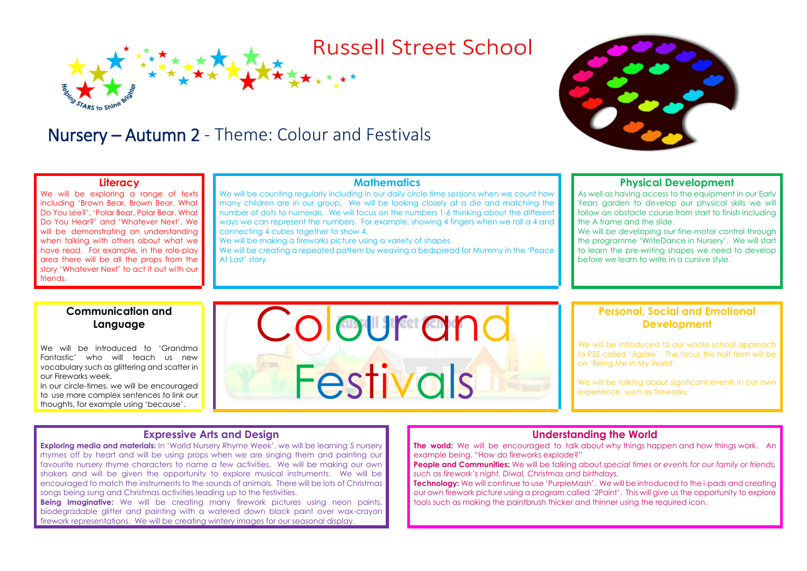# **Russell Street School**

# Nursery – Autumn 2 - Theme: Colour and Festivals

#### **Literacy**

We will be exploring a range of texts including 'Brown Bear, Brown Bear, What Do You see?', 'Polar Bear, Polar Bear, What Do You Hear?' and 'Whatever Next'. We will be demonstrating an understanding when talking with others about what we have read. For example, in the role-play area there will be all the props from the story 'Whatever Next' to act it out with our friends.

### **Mathematics**

We will be counting regularly including in our daily circle time sessions when we count how many children are in our group. We will be looking closely at a die and matching the number of dots to numerals. We will focus on the numbers 1-6 thinking about the different ways we can represent the numbers. For example, showing 4 fingers when we roll a 4 and connecting 4 cubes together to show 4.

We will be making a fireworks picture using a variety of shapes.

We will be creating a repeated pattern by weaving a bedspread for Mummy in the 'Peace At Last' story.

## **Physical Development**

As well as having access to the equipment in our Early Years garden to develop our physical skills we will follow an obstacle course from start to finish including the A frame and the slide.

We will be developing our fine-motor control through the programme 'WriteDance in Nursery'. We will start to learn the pre-writing shapes we need to develop before we learn to write in a cursive style.

# **Communication and Language**

We will be introduced to 'Grandma Fantastic' who will teach us new vocabulary such as glittering and scatter in our Fireworks week.

In our circle-times, we will be encouraged to use more complex sentences to link our thoughts, for example using 'because'.

# Colour and Festivals

## **Personal, Social and Emotional Development**

We will be introduced to our whole school approach to PSE called 'Jigsaw'. The focus this half term will be on 'Being Me in My World'.

We will be talking about significant events in our own experience, such as fireworks.

### **Expressive Arts and Design**

**Exploring media and materials:** In 'World Nursery Rhyme Week', we will be learning 5 nursery rhymes off by heart and will be using props when we are singing them and painting our favourite nursery rhyme characters to name a few activities. We will be making our own shakers and will be given the opportunity to explore musical instruments. We will be encouraged to match the instruments to the sounds of animals. There will be lots of Christmas songs being sung and Christmas activities leading up to the festivities.

**Being imaginative:** We will be creating many firework pictures using neon paints, biodegradable glitter and painting with a watered down black paint over wax-crayon firework representations. We will be creating wintery images for our seasonal display.

### **Understanding the World**

**The world:** We will be encouraged to talk about why things happen and how things work. An example being, "How do fireworks explode?"

**People and Communities:** We will be talking about *special times or events for our family or friends, such as firework's night, Diwal, Christmas and birthdays.*

**Technology:** We will continue to use 'PurpleMash'. We will be introduced to the i-pads and creating our own firework picture using a program called '2Paint'. This will give us the opportunity to explore tools such as making the paintbrush thicker and thinner using the required icon.

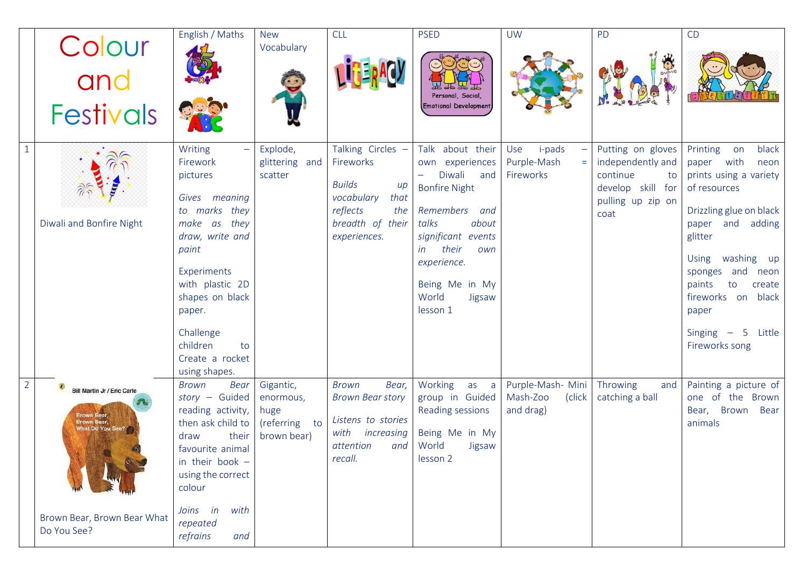|                | Colour                                                                                                                      | English / Maths                                                                                                                                                                                                                                                   | <b>New</b><br>Vocabulary                                       | <b>CLL</b>                                                                                                                            | <b>PSED</b>                                                                                                                                                                                                                                         | <b>UW</b>                                            | <b>PD</b>                                                                                                  | CD                                                                                                                                                                                                                                                                                                |
|----------------|-----------------------------------------------------------------------------------------------------------------------------|-------------------------------------------------------------------------------------------------------------------------------------------------------------------------------------------------------------------------------------------------------------------|----------------------------------------------------------------|---------------------------------------------------------------------------------------------------------------------------------------|-----------------------------------------------------------------------------------------------------------------------------------------------------------------------------------------------------------------------------------------------------|------------------------------------------------------|------------------------------------------------------------------------------------------------------------|---------------------------------------------------------------------------------------------------------------------------------------------------------------------------------------------------------------------------------------------------------------------------------------------------|
|                | and<br><b>Festivals</b>                                                                                                     |                                                                                                                                                                                                                                                                   |                                                                |                                                                                                                                       | Personal, Social,<br>Emotional Development                                                                                                                                                                                                          |                                                      |                                                                                                            |                                                                                                                                                                                                                                                                                                   |
|                | Diwali and Bonfire Night                                                                                                    | Writing<br>$\equiv$<br>Firework<br>pictures<br>Gives meaning<br>to marks they<br>they<br>make<br>as<br>draw, write and<br>paint<br>Experiments<br>with plastic 2D<br>shapes on black<br>paper.<br>Challenge<br>children<br>to<br>Create a rocket<br>using shapes. | Explode,<br>glittering and<br>scatter                          | Talking Circles -<br>Fireworks<br><b>Builds</b><br>$\mu$<br>vocabulary<br>that<br>reflects<br>the<br>breadth of their<br>experiences. | Talk about their<br>own experiences<br>Diwali<br>and<br>$\qquad \qquad -$<br><b>Bonfire Night</b><br>Remembers<br>and<br>talks<br>about<br>significant events<br>their<br>in<br>own<br>experience.<br>Being Me in My<br>World<br>Jigsaw<br>lesson 1 | Use<br><i>i</i> -pads<br>Purple-Mash<br>Fireworks    | Putting on gloves<br>independently and<br>continue<br>to<br>develop skill for<br>pulling up zip on<br>coat | black<br>Printing<br>on<br>with<br>paper<br>neon<br>prints using a variety<br>of resources<br>Drizzling glue on black<br>paper and adding<br>glitter<br>Using washing up<br>sponges and neon<br>paints<br>create<br>to<br>fireworks on<br>black<br>paper<br>Singing $-5$ Little<br>Fireworks song |
| $\overline{2}$ | Bill Martin Jr / Eric Carle<br>Brown Bear,<br>Brown Bear,<br>What Do You See?<br>Brown Bear, Brown Bear What<br>Do You See? | Bear<br>Brown<br>story - Guided<br>reading activity,<br>then ask child to<br>their<br>draw<br>favourite animal<br>in their book $-$<br>using the correct<br>colour<br>with<br>Joins in<br>repeated<br>refrains<br>and                                             | Gigantic,<br>enormous,<br>huge<br>(referring to<br>brown bear) | Bear,<br><b>Brown</b><br><b>Brown Bear story</b><br>Listens to stories<br>with<br>increasing<br>attention<br>and<br>recall.           | Working<br>as a<br>group in Guided<br>Reading sessions<br>Being Me in My<br>World<br>Jigsaw<br>lesson 2                                                                                                                                             | Purple-Mash- Mini<br>Mash-Zoo<br>(click<br>and drag) | Throwing<br>and<br>catching a ball                                                                         | Painting a picture of<br>one of the Brown<br>Bear, Brown<br>Bear<br>animals                                                                                                                                                                                                                       |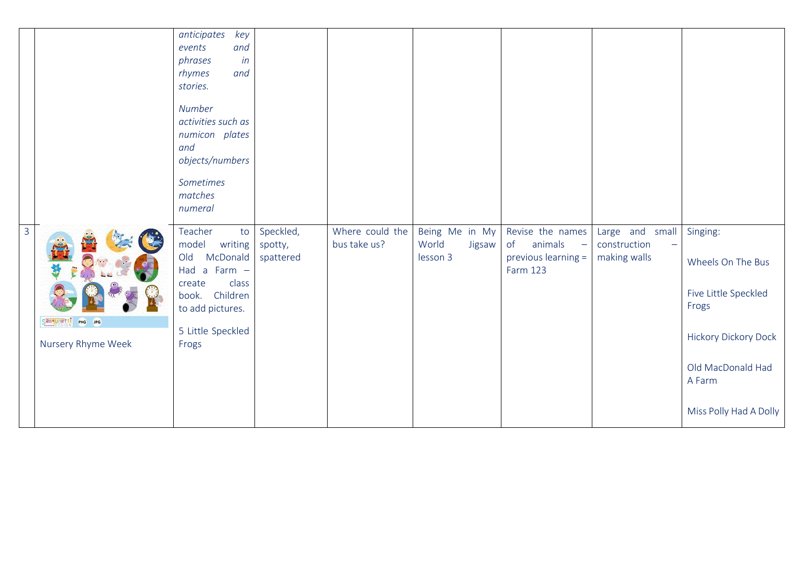|              |                                          | anticipates<br>key<br>events<br>and<br>phrases<br>in<br>rhymes<br>and<br>stories.<br>Number<br>activities such as<br>numicon plates<br>and<br>objects/numbers<br>Sometimes<br>matches<br>numeral |                                   |                                 |                                               |                                                                                              |                                                                             |                                                                                                                                                        |
|--------------|------------------------------------------|--------------------------------------------------------------------------------------------------------------------------------------------------------------------------------------------------|-----------------------------------|---------------------------------|-----------------------------------------------|----------------------------------------------------------------------------------------------|-----------------------------------------------------------------------------|--------------------------------------------------------------------------------------------------------------------------------------------------------|
| $\mathbf{3}$ | San uneffi PNG JPG<br>Nursery Rhyme Week | Teacher<br>to<br>model writing<br>McDonald<br>Old<br>Had a Farm $-$<br>class<br>create<br>book. Children<br>to add pictures.<br>5 Little Speckled<br>Frogs                                       | Speckled,<br>spotty,<br>spattered | Where could the<br>bus take us? | Being Me in My<br>World<br>Jigsaw<br>lesson 3 | Revise the names<br>animals<br>of<br>$\rightarrow$<br>previous learning =<br><b>Farm 123</b> | Large and small<br>construction<br>$\overline{\phantom{m}}$<br>making walls | Singing:<br>Wheels On The Bus<br>Five Little Speckled<br>Frogs<br><b>Hickory Dickory Dock</b><br>Old MacDonald Had<br>A Farm<br>Miss Polly Had A Dolly |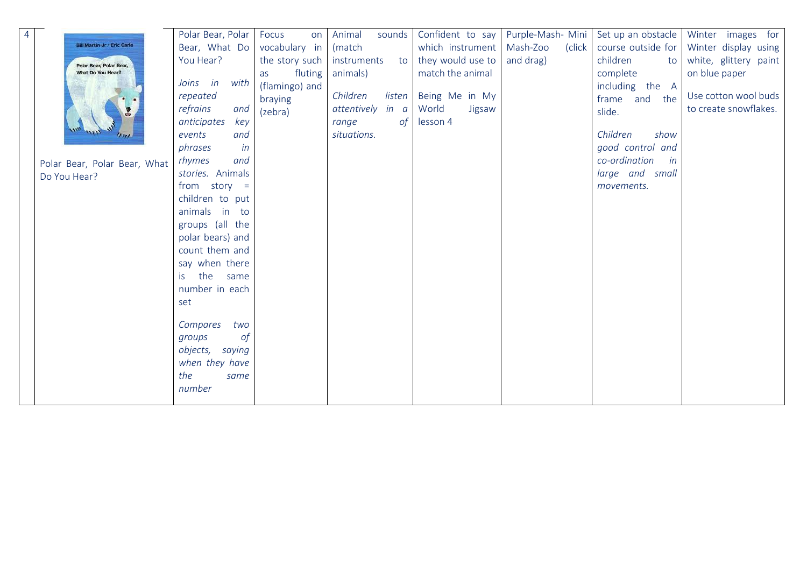| $\overline{4}$ |                                    | Polar Bear, Polar  | Focus<br>on    | Animal<br>sounds    | Confident to say  | Purple-Mash- Mini  | Set up an obstacle  | Winter images for     |
|----------------|------------------------------------|--------------------|----------------|---------------------|-------------------|--------------------|---------------------|-----------------------|
|                | <b>Bill Martin Jr / Eric Carle</b> | Bear, What Do      | vocabulary in  | (match              | which instrument  | Mash-Zoo<br>(click | course outside for  | Winter display using  |
|                | Polar Bear, Polar Bear,            | You Hear?          | the story such | instruments<br>to   | they would use to | and drag)          | children<br>to      | white, glittery paint |
|                | What Do You Hear?                  |                    | fluting<br>as  | animals)            | match the animal  |                    | complete            | on blue paper         |
|                |                                    | Joins in<br>with   | (flamingo) and |                     |                   |                    | including the A     |                       |
|                |                                    | repeated           | braying        | Children<br>listen  | Being Me in My    |                    | the<br>frame and    | Use cotton wool buds  |
|                |                                    | and<br>refrains    | (zebra)        | attentively<br>in a | World<br>Jigsaw   |                    | slide.              | to create snowflakes. |
|                |                                    | anticipates<br>key |                | range<br>0f         | lesson 4          |                    |                     |                       |
|                |                                    | and<br>events      |                | situations.         |                   |                    | show<br>Children    |                       |
|                |                                    | phrases<br>in      |                |                     |                   |                    | good control and    |                       |
|                | Polar Bear, Polar Bear, What       | and<br>rhymes      |                |                     |                   |                    | co-ordination<br>in |                       |
|                | Do You Hear?                       | stories. Animals   |                |                     |                   |                    | large and small     |                       |
|                |                                    | from $story =$     |                |                     |                   |                    | movements.          |                       |
|                |                                    | children to put    |                |                     |                   |                    |                     |                       |
|                |                                    | animals in to      |                |                     |                   |                    |                     |                       |
|                |                                    | groups (all the    |                |                     |                   |                    |                     |                       |
|                |                                    | polar bears) and   |                |                     |                   |                    |                     |                       |
|                |                                    | count them and     |                |                     |                   |                    |                     |                       |
|                |                                    | say when there     |                |                     |                   |                    |                     |                       |
|                |                                    | the same<br>is.    |                |                     |                   |                    |                     |                       |
|                |                                    | number in each     |                |                     |                   |                    |                     |                       |
|                |                                    | set                |                |                     |                   |                    |                     |                       |
|                |                                    |                    |                |                     |                   |                    |                     |                       |
|                |                                    | Compares<br>two    |                |                     |                   |                    |                     |                       |
|                |                                    | 0f<br>groups       |                |                     |                   |                    |                     |                       |
|                |                                    | objects,<br>saying |                |                     |                   |                    |                     |                       |
|                |                                    | when they have     |                |                     |                   |                    |                     |                       |
|                |                                    | the<br>same        |                |                     |                   |                    |                     |                       |
|                |                                    | number             |                |                     |                   |                    |                     |                       |
|                |                                    |                    |                |                     |                   |                    |                     |                       |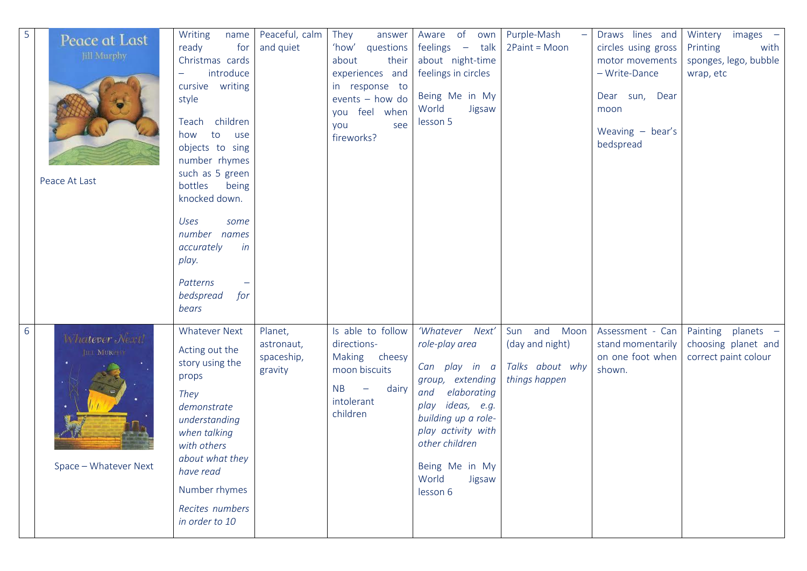| 5 | Peace at Last<br><b>Jill Murphy</b><br>Peace At Last   | Writing<br>name<br>ready<br>for<br>Christmas cards<br>introduce<br>$\overline{\phantom{m}}$<br>cursive writing<br>style<br>children<br>Teach<br>to<br>how<br>use<br>objects to sing<br>number rhymes<br>such as 5 green<br>bottles<br>being<br>knocked down.<br>Uses<br>some<br>number names<br>accurately<br>in<br>play.<br>Patterns<br>bedspread<br>for<br>bears | Peaceful, calm<br>and quiet                    | They<br>answer<br>'how'<br>questions<br>about<br>their<br>experiences and<br>in response to<br>events - how do<br>feel when<br>you<br>see<br>you<br>fireworks? | Aware of<br>own<br>feelings $-$<br>talk<br>about night-time<br>feelings in circles<br>Being Me in My<br>World<br>Jigsaw<br>lesson 5                                                                                                 | Purple-Mash<br>2Paint = Moon                                        | Draws lines and<br>circles using gross<br>motor movements<br>- Write-Dance<br>Dear sun, Dear<br>moon<br>Weaving $-$ bear's<br>bedspread | Wintery<br>images –<br>with<br>Printing<br>sponges, lego, bubble<br>wrap, etc |
|---|--------------------------------------------------------|--------------------------------------------------------------------------------------------------------------------------------------------------------------------------------------------------------------------------------------------------------------------------------------------------------------------------------------------------------------------|------------------------------------------------|----------------------------------------------------------------------------------------------------------------------------------------------------------------|-------------------------------------------------------------------------------------------------------------------------------------------------------------------------------------------------------------------------------------|---------------------------------------------------------------------|-----------------------------------------------------------------------------------------------------------------------------------------|-------------------------------------------------------------------------------|
| 6 | Whatever Next!<br>JILL MURPER<br>Space - Whatever Next | <b>Whatever Next</b><br>Acting out the<br>story using the<br>props<br>They<br>demonstrate<br>understanding<br>when talking<br>with others<br>about what they<br>have read<br>Number rhymes<br>Recites numbers<br>in order to 10                                                                                                                                    | Planet,<br>astronaut,<br>spaceship,<br>gravity | Is able to follow<br>directions-<br>Making<br>cheesy<br>moon biscuits<br><b>NB</b><br>dairy<br>$\overline{\phantom{m}}$<br>intolerant<br>children              | 'Whatever Next'<br>role-play area<br>Can play in a<br>group, extending<br>elaborating<br>and<br>ideas, e.g.<br>play<br>building up a role-<br>play activity with<br>other children<br>Being Me in My<br>World<br>Jigsaw<br>lesson 6 | Sun and Moon<br>(day and night)<br>Talks about why<br>things happen | Assessment - Can<br>stand momentarily<br>on one foot when<br>shown.                                                                     | Painting planets -<br>choosing planet and<br>correct paint colour             |